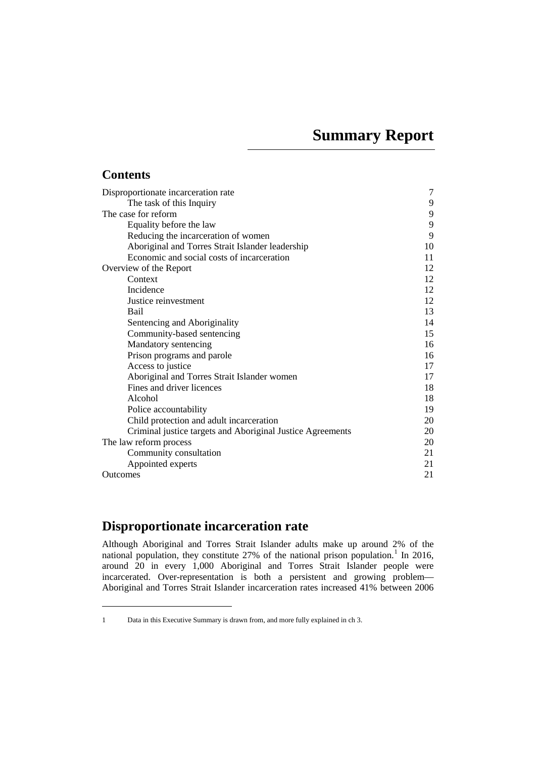# **Summary Report**

# **Contents**

 $\ddot{ }$ 

| Disproportionate incarceration rate                        | 7  |
|------------------------------------------------------------|----|
| The task of this Inquiry                                   | 9  |
| The case for reform                                        | 9  |
| Equality before the law                                    | 9  |
| Reducing the incarceration of women                        | 9  |
| Aboriginal and Torres Strait Islander leadership           | 10 |
| Economic and social costs of incarceration                 | 11 |
| Overview of the Report                                     | 12 |
| Context                                                    | 12 |
| Incidence                                                  | 12 |
| Justice reinvestment                                       | 12 |
| Bail                                                       | 13 |
| Sentencing and Aboriginality                               | 14 |
| Community-based sentencing                                 | 15 |
| Mandatory sentencing                                       | 16 |
| Prison programs and parole                                 | 16 |
| Access to justice                                          | 17 |
| Aboriginal and Torres Strait Islander women                | 17 |
| Fines and driver licences                                  | 18 |
| Alcohol                                                    | 18 |
| Police accountability                                      | 19 |
| Child protection and adult incarceration                   | 20 |
| Criminal justice targets and Aboriginal Justice Agreements | 20 |
| The law reform process                                     | 20 |
| Community consultation                                     | 21 |
| Appointed experts                                          | 21 |
| Outcomes                                                   | 21 |

# <span id="page-0-0"></span>**Disproportionate incarceration rate**

Although Aboriginal and Torres Strait Islander adults make up around 2% of the national population, they constitute 27% of the national prison population.<sup>[1](#page-0-1)</sup> In 2016, around 20 in every 1,000 Aboriginal and Torres Strait Islander people were incarcerated. Over-representation is both a persistent and growing problem— Aboriginal and Torres Strait Islander incarceration rates increased 41% between 2006

<span id="page-0-1"></span><sup>1</sup> Data in this Executive Summary is drawn from, and more fully explained in ch 3.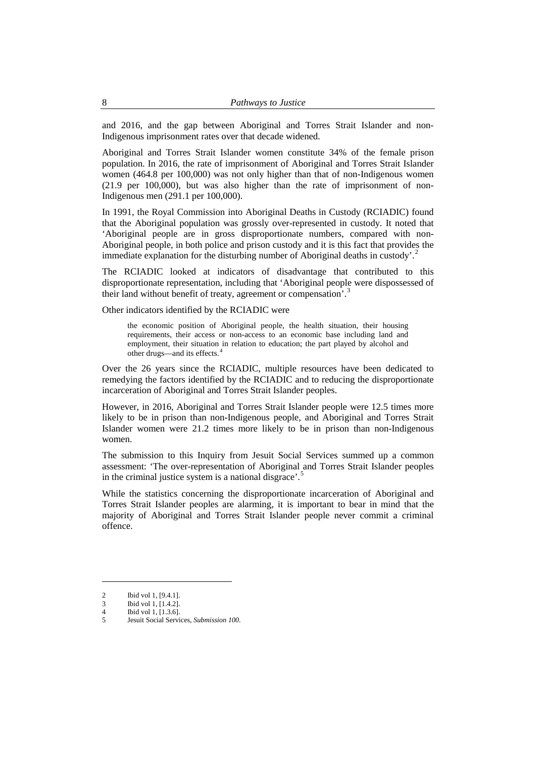and 2016, and the gap between Aboriginal and Torres Strait Islander and non-Indigenous imprisonment rates over that decade widened.

Aboriginal and Torres Strait Islander women constitute 34% of the female prison population. In 2016, the rate of imprisonment of Aboriginal and Torres Strait Islander women (464.8 per 100,000) was not only higher than that of non-Indigenous women (21.9 per 100,000), but was also higher than the rate of imprisonment of non-Indigenous men (291.1 per 100,000).

In 1991, the Royal Commission into Aboriginal Deaths in Custody (RCIADIC) found that the Aboriginal population was grossly over-represented in custody. It noted that 'Aboriginal people are in gross disproportionate numbers, compared with non-Aboriginal people, in both police and prison custody and it is this fact that provides the immediate explanation for the disturbing number of Aboriginal deaths in custody'. [2](#page-1-0)

The RCIADIC looked at indicators of disadvantage that contributed to this disproportionate representation, including that 'Aboriginal people were dispossessed of their land without benefit of treaty, agreement or compensation<sup>7</sup>.<sup>[3](#page-1-1)</sup>

Other indicators identified by the RCIADIC were

the economic position of Aboriginal people, the health situation, their housing requirements, their access or non-access to an economic base including land and employment, their situation in relation to education; the part played by alcohol and other drugs—and its effects.[4](#page-1-2)

Over the 26 years since the RCIADIC, multiple resources have been dedicated to remedying the factors identified by the RCIADIC and to reducing the disproportionate incarceration of Aboriginal and Torres Strait Islander peoples.

However, in 2016, Aboriginal and Torres Strait Islander people were 12.5 times more likely to be in prison than non-Indigenous people, and Aboriginal and Torres Strait Islander women were 21.2 times more likely to be in prison than non-Indigenous women.

The submission to this Inquiry from Jesuit Social Services summed up a common assessment: 'The over-representation of Aboriginal and Torres Strait Islander peoples in the criminal justice system is a national disgrace'. [5](#page-1-3)

While the statistics concerning the disproportionate incarceration of Aboriginal and Torres Strait Islander peoples are alarming, it is important to bear in mind that the majority of Aboriginal and Torres Strait Islander people never commit a criminal offence.

<sup>2</sup> Ibid vol 1, [9.4.1].<br>3 Ibid vol 1, [1.4.2].

<span id="page-1-2"></span><span id="page-1-1"></span><span id="page-1-0"></span>Ibid vol  $1, [1.4.2]$ .

<sup>4</sup> Ibid vol 1, [1.3.6].

<span id="page-1-3"></span><sup>5</sup> Jesuit Social Services, *Submission 100*.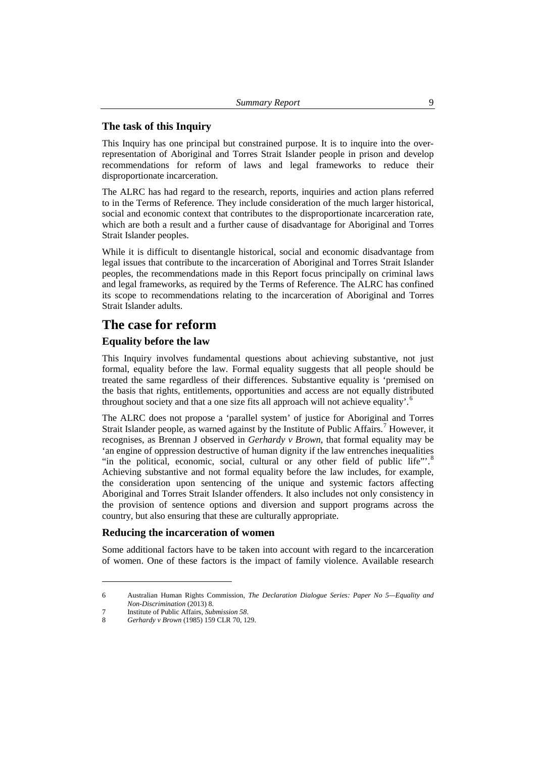#### <span id="page-2-0"></span>**The task of this Inquiry**

This Inquiry has one principal but constrained purpose. It is to inquire into the overrepresentation of Aboriginal and Torres Strait Islander people in prison and develop recommendations for reform of laws and legal frameworks to reduce their disproportionate incarceration.

The ALRC has had regard to the research, reports, inquiries and action plans referred to in the Terms of Reference. They include consideration of the much larger historical, social and economic context that contributes to the disproportionate incarceration rate, which are both a result and a further cause of disadvantage for Aboriginal and Torres Strait Islander peoples.

While it is difficult to disentangle historical, social and economic disadvantage from legal issues that contribute to the incarceration of Aboriginal and Torres Strait Islander peoples, the recommendations made in this Report focus principally on criminal laws and legal frameworks, as required by the Terms of Reference. The ALRC has confined its scope to recommendations relating to the incarceration of Aboriginal and Torres Strait Islander adults.

# <span id="page-2-1"></span>**The case for reform**

### <span id="page-2-2"></span>**Equality before the law**

This Inquiry involves fundamental questions about achieving substantive, not just formal, equality before the law. Formal equality suggests that all people should be treated the same regardless of their differences. Substantive equality is 'premised on the basis that rights, entitlements, opportunities and access are not equally distributed throughout society and that a one size fits all approach will not achieve equality'.<sup>[6](#page-2-4)</sup>

The ALRC does not propose a 'parallel system' of justice for Aboriginal and Torres Strait Islander people, as warned against by the Institute of Public Affairs.<sup>[7](#page-2-5)</sup> However, it recognises, as Brennan J observed in *Gerhardy v Brown*, that formal equality may be 'an engine of oppression destructive of human dignity if the law entrenches inequalities "in the political, economic, social, cultural or any other field of public life"'.<sup>[8](#page-2-6)</sup> Achieving substantive and not formal equality before the law includes, for example, the consideration upon sentencing of the unique and systemic factors affecting Aboriginal and Torres Strait Islander offenders. It also includes not only consistency in the provision of sentence options and diversion and support programs across the country, but also ensuring that these are culturally appropriate.

#### <span id="page-2-3"></span>**Reducing the incarceration of women**

Some additional factors have to be taken into account with regard to the incarceration of women. One of these factors is the impact of family violence. Available research

<span id="page-2-4"></span><sup>6</sup> Australian Human Rights Commission, *The Declaration Dialogue Series: Paper No 5—Equality and Non-Discrimination* (2013) 8.

<sup>7</sup> Institute of Public Affairs, *Submission 58*.

<span id="page-2-6"></span><span id="page-2-5"></span><sup>8</sup> *Gerhardy v Brown* (1985) 159 CLR 70, 129.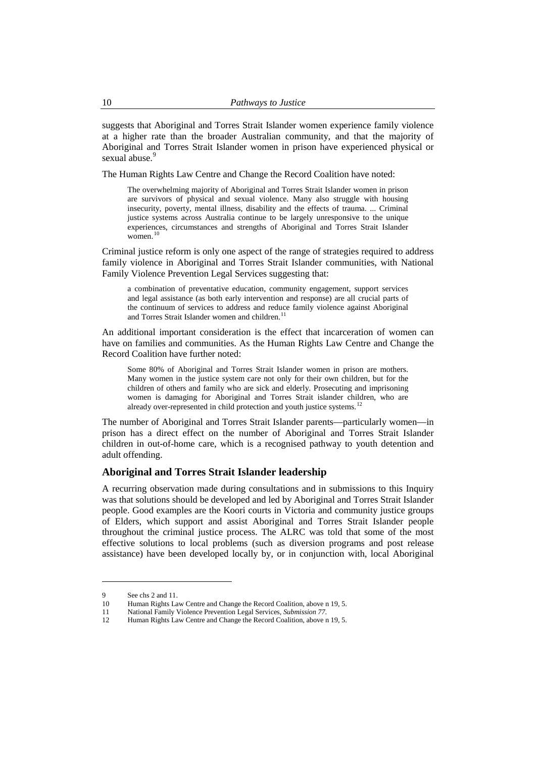suggests that Aboriginal and Torres Strait Islander women experience family violence at a higher rate than the broader Australian community, and that the majority of Aboriginal and Torres Strait Islander women in prison have experienced physical or sexual abuse.<sup>[9](#page-3-1)</sup>

The Human Rights Law Centre and Change the Record Coalition have noted:

The overwhelming majority of Aboriginal and Torres Strait Islander women in prison are survivors of physical and sexual violence. Many also struggle with housing insecurity, poverty, mental illness, disability and the effects of trauma. ... Criminal justice systems across Australia continue to be largely unresponsive to the unique experiences, circumstances and strengths of Aboriginal and Torres Strait Islander women.<sup>[10](#page-3-2)</sup>

Criminal justice reform is only one aspect of the range of strategies required to address family violence in Aboriginal and Torres Strait Islander communities, with National Family Violence Prevention Legal Services suggesting that:

a combination of preventative education, community engagement, support services and legal assistance (as both early intervention and response) are all crucial parts of the continuum of services to address and reduce family violence against Aboriginal and Torres Strait Islander women and children. $^{11}$  $^{11}$  $^{11}$ 

An additional important consideration is the effect that incarceration of women can have on families and communities. As the Human Rights Law Centre and Change the Record Coalition have further noted:

Some 80% of Aboriginal and Torres Strait Islander women in prison are mothers. Many women in the justice system care not only for their own children, but for the children of others and family who are sick and elderly. Prosecuting and imprisoning women is damaging for Aboriginal and Torres Strait islander children, who are already over-represented in child protection and youth justice systems.<sup>[12](#page-3-4)</sup>

The number of Aboriginal and Torres Strait Islander parents—particularly women—in prison has a direct effect on the number of Aboriginal and Torres Strait Islander children in out-of-home care, which is a recognised pathway to youth detention and adult offending.

#### <span id="page-3-0"></span>**Aboriginal and Torres Strait Islander leadership**

A recurring observation made during consultations and in submissions to this Inquiry was that solutions should be developed and led by Aboriginal and Torres Strait Islander people. Good examples are the Koori courts in Victoria and community justice groups of Elders, which support and assist Aboriginal and Torres Strait Islander people throughout the criminal justice process. The ALRC was told that some of the most effective solutions to local problems (such as diversion programs and post release assistance) have been developed locally by, or in conjunction with, local Aboriginal

<sup>9</sup> See chs 2 and 11.<br>10 Human Rights La

<span id="page-3-2"></span><span id="page-3-1"></span>Human Rights Law Centre and Change the Record Coalition, above n 19, 5.

<span id="page-3-4"></span><span id="page-3-3"></span><sup>11</sup> National Family Violence Prevention Legal Services, *Submission 77*.

<sup>12</sup> Human Rights Law Centre and Change the Record Coalition, above n 19, 5.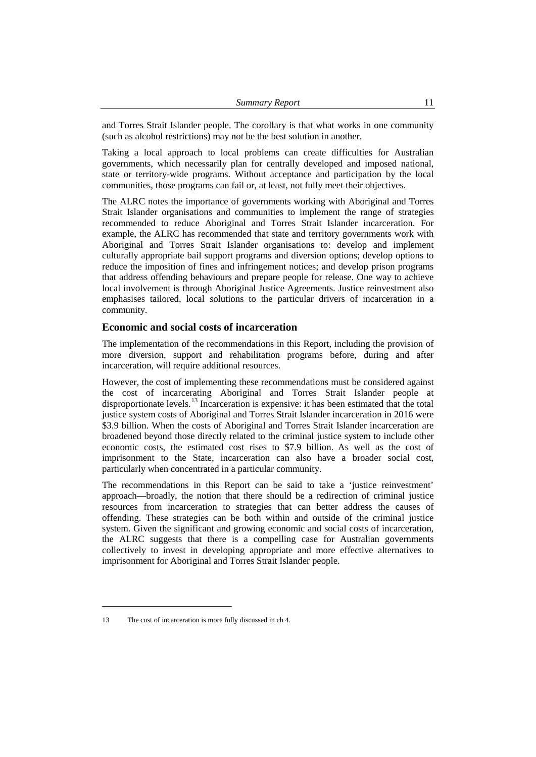and Torres Strait Islander people. The corollary is that what works in one community (such as alcohol restrictions) may not be the best solution in another.

Taking a local approach to local problems can create difficulties for Australian governments, which necessarily plan for centrally developed and imposed national, state or territory-wide programs. Without acceptance and participation by the local communities, those programs can fail or, at least, not fully meet their objectives.

The ALRC notes the importance of governments working with Aboriginal and Torres Strait Islander organisations and communities to implement the range of strategies recommended to reduce Aboriginal and Torres Strait Islander incarceration. For example, the ALRC has recommended that state and territory governments work with Aboriginal and Torres Strait Islander organisations to: develop and implement culturally appropriate bail support programs and diversion options; develop options to reduce the imposition of fines and infringement notices; and develop prison programs that address offending behaviours and prepare people for release. One way to achieve local involvement is through Aboriginal Justice Agreements. Justice reinvestment also emphasises tailored, local solutions to the particular drivers of incarceration in a community.

#### <span id="page-4-0"></span>**Economic and social costs of incarceration**

The implementation of the recommendations in this Report, including the provision of more diversion, support and rehabilitation programs before, during and after incarceration, will require additional resources.

However, the cost of implementing these recommendations must be considered against the cost of incarcerating Aboriginal and Torres Strait Islander people at disproportionate levels.<sup>[13](#page-4-1)</sup> Incarceration is expensive: it has been estimated that the total justice system costs of Aboriginal and Torres Strait Islander incarceration in 2016 were \$3.9 billion. When the costs of Aboriginal and Torres Strait Islander incarceration are broadened beyond those directly related to the criminal justice system to include other economic costs, the estimated cost rises to \$7.9 billion. As well as the cost of imprisonment to the State, incarceration can also have a broader social cost, particularly when concentrated in a particular community.

The recommendations in this Report can be said to take a 'justice reinvestment' approach—broadly, the notion that there should be a redirection of criminal justice resources from incarceration to strategies that can better address the causes of offending. These strategies can be both within and outside of the criminal justice system. Given the significant and growing economic and social costs of incarceration, the ALRC suggests that there is a compelling case for Australian governments collectively to invest in developing appropriate and more effective alternatives to imprisonment for Aboriginal and Torres Strait Islander people.

<span id="page-4-1"></span><sup>13</sup> The cost of incarceration is more fully discussed in ch 4.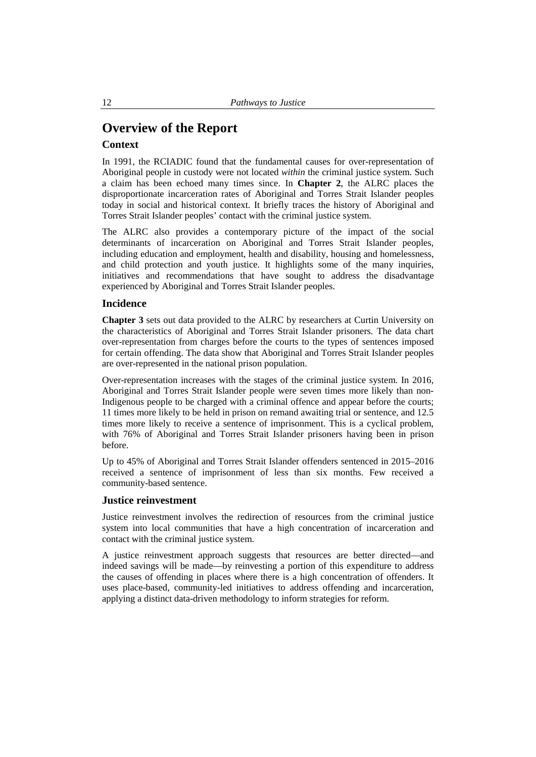# <span id="page-5-0"></span>**Overview of the Report**

## <span id="page-5-1"></span>**Context**

In 1991, the RCIADIC found that the fundamental causes for over-representation of Aboriginal people in custody were not located *within* the criminal justice system. Such a claim has been echoed many times since. In **Chapter 2**, the ALRC places the disproportionate incarceration rates of Aboriginal and Torres Strait Islander peoples today in social and historical context. It briefly traces the history of Aboriginal and Torres Strait Islander peoples' contact with the criminal justice system.

The ALRC also provides a contemporary picture of the impact of the social determinants of incarceration on Aboriginal and Torres Strait Islander peoples, including education and employment, health and disability, housing and homelessness, and child protection and youth justice. It highlights some of the many inquiries, initiatives and recommendations that have sought to address the disadvantage experienced by Aboriginal and Torres Strait Islander peoples.

#### <span id="page-5-2"></span>**Incidence**

**Chapter 3** sets out data provided to the ALRC by researchers at Curtin University on the characteristics of Aboriginal and Torres Strait Islander prisoners. The data chart over-representation from charges before the courts to the types of sentences imposed for certain offending. The data show that Aboriginal and Torres Strait Islander peoples are over-represented in the national prison population.

Over-representation increases with the stages of the criminal justice system. In 2016, Aboriginal and Torres Strait Islander people were seven times more likely than non-Indigenous people to be charged with a criminal offence and appear before the courts; 11 times more likely to be held in prison on remand awaiting trial or sentence, and 12.5 times more likely to receive a sentence of imprisonment. This is a cyclical problem, with 76% of Aboriginal and Torres Strait Islander prisoners having been in prison before.

Up to 45% of Aboriginal and Torres Strait Islander offenders sentenced in 2015–2016 received a sentence of imprisonment of less than six months. Few received a community-based sentence.

#### <span id="page-5-3"></span>**Justice reinvestment**

Justice reinvestment involves the redirection of resources from the criminal justice system into local communities that have a high concentration of incarceration and contact with the criminal justice system.

A justice reinvestment approach suggests that resources are better directed—and indeed savings will be made—by reinvesting a portion of this expenditure to address the causes of offending in places where there is a high concentration of offenders. It uses place-based, community-led initiatives to address offending and incarceration, applying a distinct data-driven methodology to inform strategies for reform.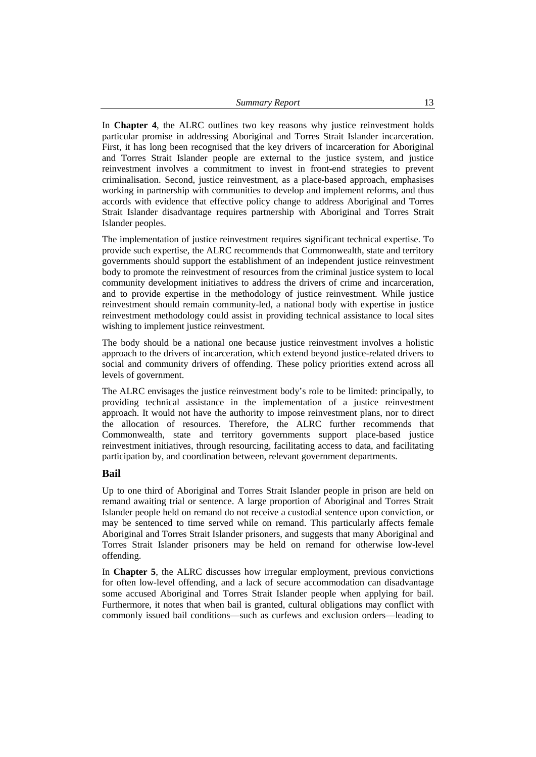| <b>Summary Report</b> |  |
|-----------------------|--|
|-----------------------|--|

In **Chapter 4**, the ALRC outlines two key reasons why justice reinvestment holds particular promise in addressing Aboriginal and Torres Strait Islander incarceration. First, it has long been recognised that the key drivers of incarceration for Aboriginal and Torres Strait Islander people are external to the justice system, and justice reinvestment involves a commitment to invest in front-end strategies to prevent criminalisation. Second, justice reinvestment, as a place-based approach, emphasises working in partnership with communities to develop and implement reforms, and thus accords with evidence that effective policy change to address Aboriginal and Torres Strait Islander disadvantage requires partnership with Aboriginal and Torres Strait Islander peoples.

The implementation of justice reinvestment requires significant technical expertise. To provide such expertise, the ALRC recommends that Commonwealth, state and territory governments should support the establishment of an independent justice reinvestment body to promote the reinvestment of resources from the criminal justice system to local community development initiatives to address the drivers of crime and incarceration, and to provide expertise in the methodology of justice reinvestment. While justice reinvestment should remain community-led, a national body with expertise in justice reinvestment methodology could assist in providing technical assistance to local sites wishing to implement justice reinvestment.

The body should be a national one because justice reinvestment involves a holistic approach to the drivers of incarceration, which extend beyond justice-related drivers to social and community drivers of offending. These policy priorities extend across all levels of government.

The ALRC envisages the justice reinvestment body's role to be limited: principally, to providing technical assistance in the implementation of a justice reinvestment approach. It would not have the authority to impose reinvestment plans, nor to direct the allocation of resources. Therefore, the ALRC further recommends that Commonwealth, state and territory governments support place-based justice reinvestment initiatives, through resourcing, facilitating access to data, and facilitating participation by, and coordination between, relevant government departments.

#### <span id="page-6-0"></span>**Bail**

Up to one third of Aboriginal and Torres Strait Islander people in prison are held on remand awaiting trial or sentence. A large proportion of Aboriginal and Torres Strait Islander people held on remand do not receive a custodial sentence upon conviction, or may be sentenced to time served while on remand. This particularly affects female Aboriginal and Torres Strait Islander prisoners, and suggests that many Aboriginal and Torres Strait Islander prisoners may be held on remand for otherwise low-level offending.

In **Chapter 5**, the ALRC discusses how irregular employment, previous convictions for often low-level offending, and a lack of secure accommodation can disadvantage some accused Aboriginal and Torres Strait Islander people when applying for bail. Furthermore, it notes that when bail is granted, cultural obligations may conflict with commonly issued bail conditions—such as curfews and exclusion orders—leading to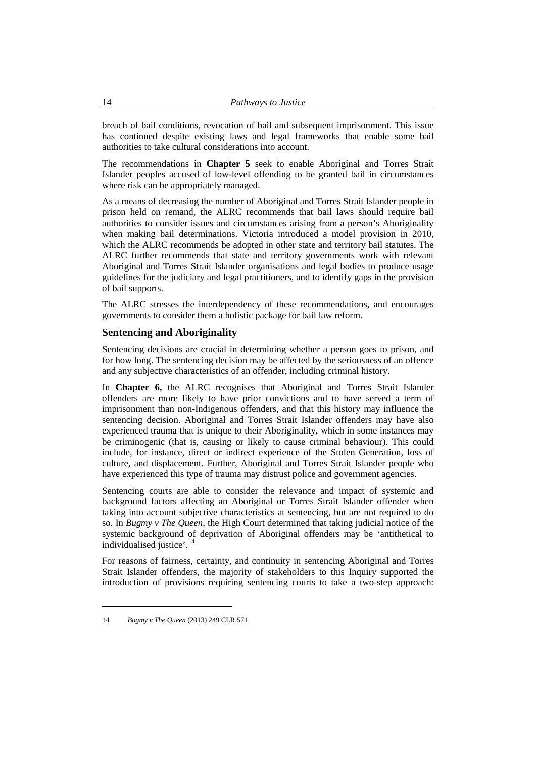breach of bail conditions, revocation of bail and subsequent imprisonment. This issue has continued despite existing laws and legal frameworks that enable some bail authorities to take cultural considerations into account.

The recommendations in **Chapter 5** seek to enable Aboriginal and Torres Strait Islander peoples accused of low-level offending to be granted bail in circumstances where risk can be appropriately managed.

As a means of decreasing the number of Aboriginal and Torres Strait Islander people in prison held on remand, the ALRC recommends that bail laws should require bail authorities to consider issues and circumstances arising from a person's Aboriginality when making bail determinations. Victoria introduced a model provision in 2010, which the ALRC recommends be adopted in other state and territory bail statutes. The ALRC further recommends that state and territory governments work with relevant Aboriginal and Torres Strait Islander organisations and legal bodies to produce usage guidelines for the judiciary and legal practitioners, and to identify gaps in the provision of bail supports.

The ALRC stresses the interdependency of these recommendations, and encourages governments to consider them a holistic package for bail law reform.

#### <span id="page-7-0"></span>**Sentencing and Aboriginality**

Sentencing decisions are crucial in determining whether a person goes to prison, and for how long. The sentencing decision may be affected by the seriousness of an offence and any subjective characteristics of an offender, including criminal history.

In **Chapter 6,** the ALRC recognises that Aboriginal and Torres Strait Islander offenders are more likely to have prior convictions and to have served a term of imprisonment than non-Indigenous offenders, and that this history may influence the sentencing decision. Aboriginal and Torres Strait Islander offenders may have also experienced trauma that is unique to their Aboriginality, which in some instances may be criminogenic (that is, causing or likely to cause criminal behaviour). This could include, for instance, direct or indirect experience of the Stolen Generation, loss of culture, and displacement. Further, Aboriginal and Torres Strait Islander people who have experienced this type of trauma may distrust police and government agencies.

Sentencing courts are able to consider the relevance and impact of systemic and background factors affecting an Aboriginal or Torres Strait Islander offender when taking into account subjective characteristics at sentencing, but are not required to do so. In *Bugmy v The Queen*, the High Court determined that taking judicial notice of the systemic background of deprivation of Aboriginal offenders may be 'antithetical to individualised justice'.<sup>[14](#page-7-1)</sup>

For reasons of fairness, certainty, and continuity in sentencing Aboriginal and Torres Strait Islander offenders, the majority of stakeholders to this Inquiry supported the introduction of provisions requiring sentencing courts to take a two-step approach:

<span id="page-7-1"></span><sup>14</sup> *Bugmy v The Queen* (2013) 249 CLR 571.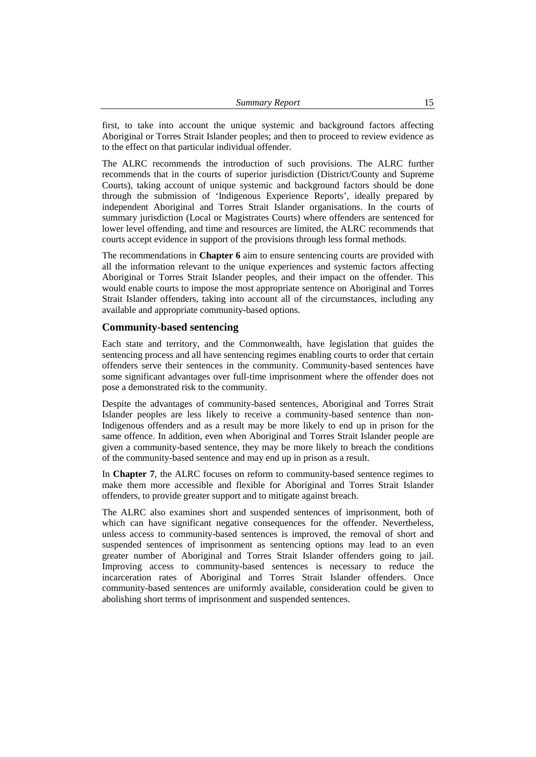first, to take into account the unique systemic and background factors affecting Aboriginal or Torres Strait Islander peoples; and then to proceed to review evidence as to the effect on that particular individual offender.

The ALRC recommends the introduction of such provisions. The ALRC further recommends that in the courts of superior jurisdiction (District/County and Supreme Courts), taking account of unique systemic and background factors should be done through the submission of 'Indigenous Experience Reports', ideally prepared by independent Aboriginal and Torres Strait Islander organisations. In the courts of summary jurisdiction (Local or Magistrates Courts) where offenders are sentenced for lower level offending, and time and resources are limited, the ALRC recommends that courts accept evidence in support of the provisions through less formal methods.

The recommendations in **Chapter 6** aim to ensure sentencing courts are provided with all the information relevant to the unique experiences and systemic factors affecting Aboriginal or Torres Strait Islander peoples, and their impact on the offender. This would enable courts to impose the most appropriate sentence on Aboriginal and Torres Strait Islander offenders, taking into account all of the circumstances, including any available and appropriate community-based options.

#### <span id="page-8-0"></span>**Community-based sentencing**

Each state and territory, and the Commonwealth, have legislation that guides the sentencing process and all have sentencing regimes enabling courts to order that certain offenders serve their sentences in the community. Community-based sentences have some significant advantages over full-time imprisonment where the offender does not pose a demonstrated risk to the community.

Despite the advantages of community-based sentences, Aboriginal and Torres Strait Islander peoples are less likely to receive a community-based sentence than non-Indigenous offenders and as a result may be more likely to end up in prison for the same offence. In addition, even when Aboriginal and Torres Strait Islander people are given a community-based sentence, they may be more likely to breach the conditions of the community-based sentence and may end up in prison as a result.

In **Chapter 7**, the ALRC focuses on reform to community-based sentence regimes to make them more accessible and flexible for Aboriginal and Torres Strait Islander offenders, to provide greater support and to mitigate against breach.

The ALRC also examines short and suspended sentences of imprisonment, both of which can have significant negative consequences for the offender. Nevertheless, unless access to community-based sentences is improved, the removal of short and suspended sentences of imprisonment as sentencing options may lead to an even greater number of Aboriginal and Torres Strait Islander offenders going to jail. Improving access to community-based sentences is necessary to reduce the incarceration rates of Aboriginal and Torres Strait Islander offenders. Once community-based sentences are uniformly available, consideration could be given to abolishing short terms of imprisonment and suspended sentences.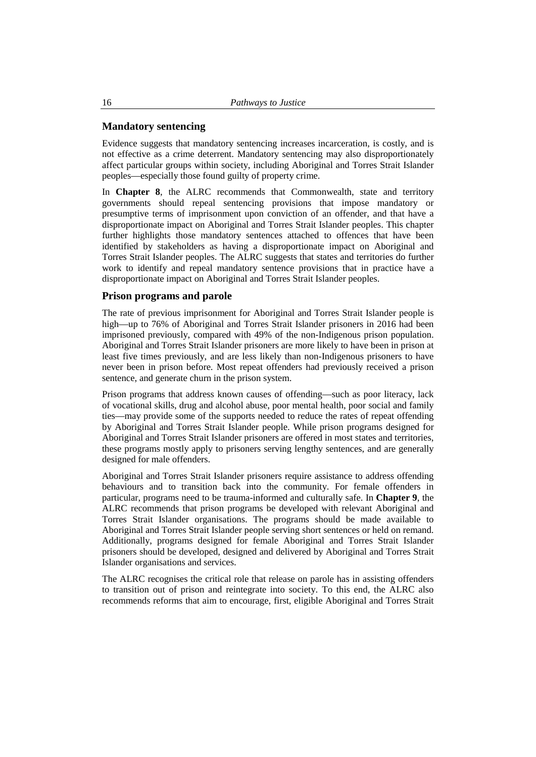#### <span id="page-9-0"></span>**Mandatory sentencing**

Evidence suggests that mandatory sentencing increases incarceration, is costly, and is not effective as a crime deterrent. Mandatory sentencing may also disproportionately affect particular groups within society, including Aboriginal and Torres Strait Islander peoples—especially those found guilty of property crime.

In **Chapter 8**, the ALRC recommends that Commonwealth, state and territory governments should repeal sentencing provisions that impose mandatory or presumptive terms of imprisonment upon conviction of an offender, and that have a disproportionate impact on Aboriginal and Torres Strait Islander peoples. This chapter further highlights those mandatory sentences attached to offences that have been identified by stakeholders as having a disproportionate impact on Aboriginal and Torres Strait Islander peoples. The ALRC suggests that states and territories do further work to identify and repeal mandatory sentence provisions that in practice have a disproportionate impact on Aboriginal and Torres Strait Islander peoples.

#### <span id="page-9-1"></span>**Prison programs and parole**

The rate of previous imprisonment for Aboriginal and Torres Strait Islander people is high—up to 76% of Aboriginal and Torres Strait Islander prisoners in 2016 had been imprisoned previously, compared with 49% of the non-Indigenous prison population. Aboriginal and Torres Strait Islander prisoners are more likely to have been in prison at least five times previously, and are less likely than non-Indigenous prisoners to have never been in prison before. Most repeat offenders had previously received a prison sentence, and generate churn in the prison system.

Prison programs that address known causes of offending—such as poor literacy, lack of vocational skills, drug and alcohol abuse, poor mental health, poor social and family ties—may provide some of the supports needed to reduce the rates of repeat offending by Aboriginal and Torres Strait Islander people. While prison programs designed for Aboriginal and Torres Strait Islander prisoners are offered in most states and territories, these programs mostly apply to prisoners serving lengthy sentences, and are generally designed for male offenders.

Aboriginal and Torres Strait Islander prisoners require assistance to address offending behaviours and to transition back into the community. For female offenders in particular, programs need to be trauma-informed and culturally safe. In **Chapter 9**, the ALRC recommends that prison programs be developed with relevant Aboriginal and Torres Strait Islander organisations. The programs should be made available to Aboriginal and Torres Strait Islander people serving short sentences or held on remand. Additionally, programs designed for female Aboriginal and Torres Strait Islander prisoners should be developed, designed and delivered by Aboriginal and Torres Strait Islander organisations and services.

The ALRC recognises the critical role that release on parole has in assisting offenders to transition out of prison and reintegrate into society. To this end, the ALRC also recommends reforms that aim to encourage, first, eligible Aboriginal and Torres Strait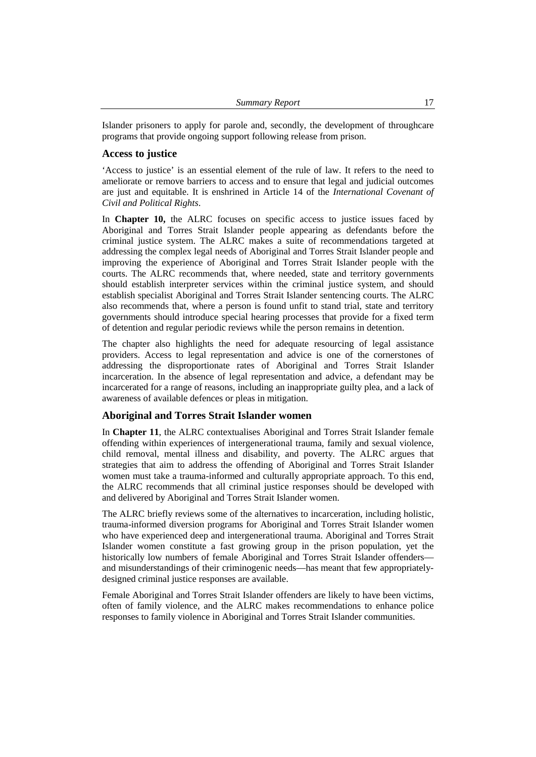| <b>Summary Report</b> |  |  |
|-----------------------|--|--|
|-----------------------|--|--|

Islander prisoners to apply for parole and, secondly, the development of throughcare programs that provide ongoing support following release from prison.

#### <span id="page-10-0"></span>**Access to justice**

'Access to justice' is an essential element of the rule of law. It refers to the need to ameliorate or remove barriers to access and to ensure that legal and judicial outcomes are just and equitable. It is enshrined in Article 14 of the *International Covenant of Civil and Political Rights*.

In **Chapter 10,** the ALRC focuses on specific access to justice issues faced by Aboriginal and Torres Strait Islander people appearing as defendants before the criminal justice system. The ALRC makes a suite of recommendations targeted at addressing the complex legal needs of Aboriginal and Torres Strait Islander people and improving the experience of Aboriginal and Torres Strait Islander people with the courts. The ALRC recommends that, where needed, state and territory governments should establish interpreter services within the criminal justice system, and should establish specialist Aboriginal and Torres Strait Islander sentencing courts. The ALRC also recommends that, where a person is found unfit to stand trial, state and territory governments should introduce special hearing processes that provide for a fixed term of detention and regular periodic reviews while the person remains in detention.

The chapter also highlights the need for adequate resourcing of legal assistance providers. Access to legal representation and advice is one of the cornerstones of addressing the disproportionate rates of Aboriginal and Torres Strait Islander incarceration. In the absence of legal representation and advice, a defendant may be incarcerated for a range of reasons, including an inappropriate guilty plea, and a lack of awareness of available defences or pleas in mitigation.

#### <span id="page-10-1"></span>**Aboriginal and Torres Strait Islander women**

In **Chapter 11**, the ALRC contextualises Aboriginal and Torres Strait Islander female offending within experiences of intergenerational trauma, family and sexual violence, child removal, mental illness and disability, and poverty. The ALRC argues that strategies that aim to address the offending of Aboriginal and Torres Strait Islander women must take a trauma-informed and culturally appropriate approach. To this end, the ALRC recommends that all criminal justice responses should be developed with and delivered by Aboriginal and Torres Strait Islander women.

The ALRC briefly reviews some of the alternatives to incarceration, including holistic, trauma-informed diversion programs for Aboriginal and Torres Strait Islander women who have experienced deep and intergenerational trauma. Aboriginal and Torres Strait Islander women constitute a fast growing group in the prison population, yet the historically low numbers of female Aboriginal and Torres Strait Islander offenders and misunderstandings of their criminogenic needs—has meant that few appropriatelydesigned criminal justice responses are available.

Female Aboriginal and Torres Strait Islander offenders are likely to have been victims, often of family violence, and the ALRC makes recommendations to enhance police responses to family violence in Aboriginal and Torres Strait Islander communities.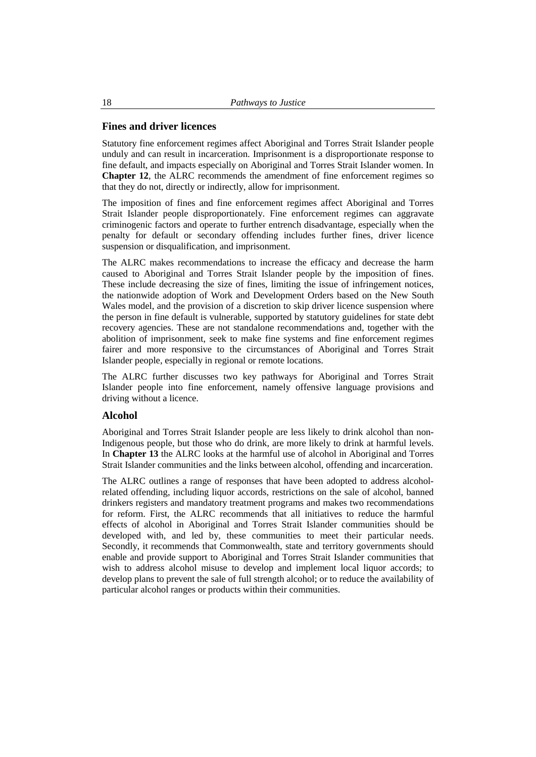#### <span id="page-11-0"></span>**Fines and driver licences**

Statutory fine enforcement regimes affect Aboriginal and Torres Strait Islander people unduly and can result in incarceration. Imprisonment is a disproportionate response to fine default, and impacts especially on Aboriginal and Torres Strait Islander women. In **Chapter 12**, the ALRC recommends the amendment of fine enforcement regimes so that they do not, directly or indirectly, allow for imprisonment.

The imposition of fines and fine enforcement regimes affect Aboriginal and Torres Strait Islander people disproportionately. Fine enforcement regimes can aggravate criminogenic factors and operate to further entrench disadvantage, especially when the penalty for default or secondary offending includes further fines, driver licence suspension or disqualification, and imprisonment.

The ALRC makes recommendations to increase the efficacy and decrease the harm caused to Aboriginal and Torres Strait Islander people by the imposition of fines. These include decreasing the size of fines, limiting the issue of infringement notices, the nationwide adoption of Work and Development Orders based on the New South Wales model, and the provision of a discretion to skip driver licence suspension where the person in fine default is vulnerable, supported by statutory guidelines for state debt recovery agencies. These are not standalone recommendations and, together with the abolition of imprisonment, seek to make fine systems and fine enforcement regimes fairer and more responsive to the circumstances of Aboriginal and Torres Strait Islander people, especially in regional or remote locations.

The ALRC further discusses two key pathways for Aboriginal and Torres Strait Islander people into fine enforcement, namely offensive language provisions and driving without a licence.

#### <span id="page-11-1"></span>**Alcohol**

Aboriginal and Torres Strait Islander people are less likely to drink alcohol than non-Indigenous people, but those who do drink, are more likely to drink at harmful levels. In **Chapter 13** the ALRC looks at the harmful use of alcohol in Aboriginal and Torres Strait Islander communities and the links between alcohol, offending and incarceration.

The ALRC outlines a range of responses that have been adopted to address alcoholrelated offending, including liquor accords, restrictions on the sale of alcohol, banned drinkers registers and mandatory treatment programs and makes two recommendations for reform. First, the ALRC recommends that all initiatives to reduce the harmful effects of alcohol in Aboriginal and Torres Strait Islander communities should be developed with, and led by, these communities to meet their particular needs. Secondly, it recommends that Commonwealth, state and territory governments should enable and provide support to Aboriginal and Torres Strait Islander communities that wish to address alcohol misuse to develop and implement local liquor accords; to develop plans to prevent the sale of full strength alcohol; or to reduce the availability of particular alcohol ranges or products within their communities.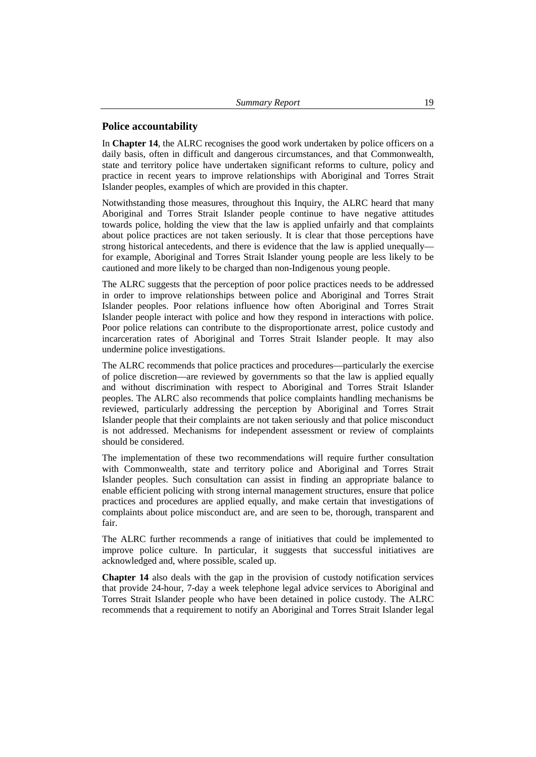#### <span id="page-12-0"></span>**Police accountability**

In **Chapter 14**, the ALRC recognises the good work undertaken by police officers on a daily basis, often in difficult and dangerous circumstances, and that Commonwealth, state and territory police have undertaken significant reforms to culture, policy and practice in recent years to improve relationships with Aboriginal and Torres Strait Islander peoples, examples of which are provided in this chapter.

Notwithstanding those measures, throughout this Inquiry, the ALRC heard that many Aboriginal and Torres Strait Islander people continue to have negative attitudes towards police, holding the view that the law is applied unfairly and that complaints about police practices are not taken seriously. It is clear that those perceptions have strong historical antecedents, and there is evidence that the law is applied unequally for example, Aboriginal and Torres Strait Islander young people are less likely to be cautioned and more likely to be charged than non-Indigenous young people.

The ALRC suggests that the perception of poor police practices needs to be addressed in order to improve relationships between police and Aboriginal and Torres Strait Islander peoples. Poor relations influence how often Aboriginal and Torres Strait Islander people interact with police and how they respond in interactions with police. Poor police relations can contribute to the disproportionate arrest, police custody and incarceration rates of Aboriginal and Torres Strait Islander people. It may also undermine police investigations.

The ALRC recommends that police practices and procedures—particularly the exercise of police discretion—are reviewed by governments so that the law is applied equally and without discrimination with respect to Aboriginal and Torres Strait Islander peoples. The ALRC also recommends that police complaints handling mechanisms be reviewed, particularly addressing the perception by Aboriginal and Torres Strait Islander people that their complaints are not taken seriously and that police misconduct is not addressed. Mechanisms for independent assessment or review of complaints should be considered.

The implementation of these two recommendations will require further consultation with Commonwealth, state and territory police and Aboriginal and Torres Strait Islander peoples. Such consultation can assist in finding an appropriate balance to enable efficient policing with strong internal management structures, ensure that police practices and procedures are applied equally, and make certain that investigations of complaints about police misconduct are, and are seen to be, thorough, transparent and fair.

The ALRC further recommends a range of initiatives that could be implemented to improve police culture. In particular, it suggests that successful initiatives are acknowledged and, where possible, scaled up.

**Chapter 14** also deals with the gap in the provision of custody notification services that provide 24-hour, 7-day a week telephone legal advice services to Aboriginal and Torres Strait Islander people who have been detained in police custody. The ALRC recommends that a requirement to notify an Aboriginal and Torres Strait Islander legal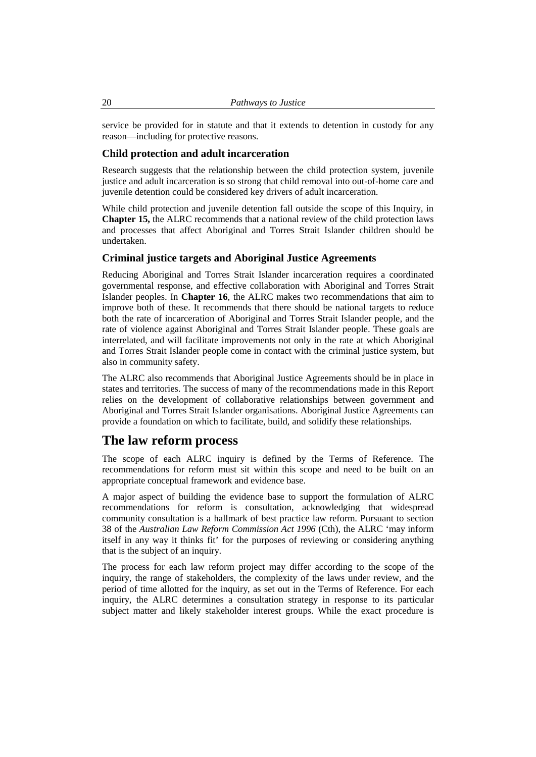service be provided for in statute and that it extends to detention in custody for any reason—including for protective reasons.

#### <span id="page-13-0"></span>**Child protection and adult incarceration**

Research suggests that the relationship between the child protection system, juvenile justice and adult incarceration is so strong that child removal into out-of-home care and juvenile detention could be considered key drivers of adult incarceration.

While child protection and juvenile detention fall outside the scope of this Inquiry, in **Chapter 15,** the ALRC recommends that a national review of the child protection laws and processes that affect Aboriginal and Torres Strait Islander children should be undertaken.

#### <span id="page-13-1"></span>**Criminal justice targets and Aboriginal Justice Agreements**

Reducing Aboriginal and Torres Strait Islander incarceration requires a coordinated governmental response, and effective collaboration with Aboriginal and Torres Strait Islander peoples. In **Chapter 16**, the ALRC makes two recommendations that aim to improve both of these. It recommends that there should be national targets to reduce both the rate of incarceration of Aboriginal and Torres Strait Islander people, and the rate of violence against Aboriginal and Torres Strait Islander people. These goals are interrelated, and will facilitate improvements not only in the rate at which Aboriginal and Torres Strait Islander people come in contact with the criminal justice system, but also in community safety.

The ALRC also recommends that Aboriginal Justice Agreements should be in place in states and territories. The success of many of the recommendations made in this Report relies on the development of collaborative relationships between government and Aboriginal and Torres Strait Islander organisations. Aboriginal Justice Agreements can provide a foundation on which to facilitate, build, and solidify these relationships.

# <span id="page-13-2"></span>**The law reform process**

The scope of each ALRC inquiry is defined by the Terms of Reference. The recommendations for reform must sit within this scope and need to be built on an appropriate conceptual framework and evidence base.

A major aspect of building the evidence base to support the formulation of ALRC recommendations for reform is consultation, acknowledging that widespread community consultation is a hallmark of best practice law reform. Pursuant to section 38 of the *Australian Law Reform Commission Act 1996* (Cth), the ALRC 'may inform itself in any way it thinks fit' for the purposes of reviewing or considering anything that is the subject of an inquiry.

The process for each law reform project may differ according to the scope of the inquiry, the range of stakeholders, the complexity of the laws under review, and the period of time allotted for the inquiry, as set out in the Terms of Reference. For each inquiry, the ALRC determines a consultation strategy in response to its particular subject matter and likely stakeholder interest groups. While the exact procedure is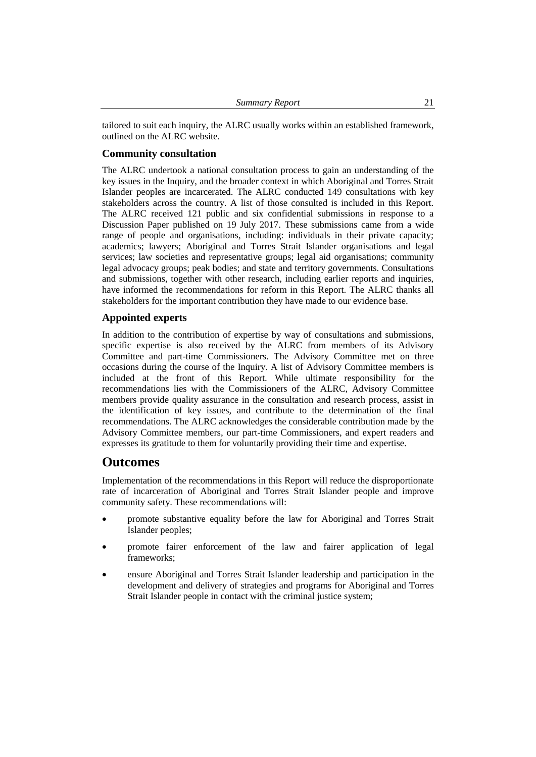tailored to suit each inquiry, the ALRC usually works within an established framework, outlined on the ALRC website.

#### <span id="page-14-0"></span>**Community consultation**

The ALRC undertook a national consultation process to gain an understanding of the key issues in the Inquiry, and the broader context in which Aboriginal and Torres Strait Islander peoples are incarcerated. The ALRC conducted 149 consultations with key stakeholders across the country. A list of those consulted is included in this Report. The ALRC received 121 public and six confidential submissions in response to a Discussion Paper published on 19 July 2017. These submissions came from a wide range of people and organisations, including: individuals in their private capacity; academics; lawyers; Aboriginal and Torres Strait Islander organisations and legal services; law societies and representative groups; legal aid organisations; community legal advocacy groups; peak bodies; and state and territory governments. Consultations and submissions, together with other research, including earlier reports and inquiries, have informed the recommendations for reform in this Report. The ALRC thanks all stakeholders for the important contribution they have made to our evidence base.

#### <span id="page-14-1"></span>**Appointed experts**

In addition to the contribution of expertise by way of consultations and submissions, specific expertise is also received by the ALRC from members of its Advisory Committee and part-time Commissioners. The Advisory Committee met on three occasions during the course of the Inquiry. A list of Advisory Committee members is included at the front of this Report. While ultimate responsibility for the recommendations lies with the Commissioners of the ALRC, Advisory Committee members provide quality assurance in the consultation and research process, assist in the identification of key issues, and contribute to the determination of the final recommendations. The ALRC acknowledges the considerable contribution made by the Advisory Committee members, our part-time Commissioners, and expert readers and expresses its gratitude to them for voluntarily providing their time and expertise.

# <span id="page-14-2"></span>**Outcomes**

Implementation of the recommendations in this Report will reduce the disproportionate rate of incarceration of Aboriginal and Torres Strait Islander people and improve community safety. These recommendations will:

- promote substantive equality before the law for Aboriginal and Torres Strait Islander peoples;
- promote fairer enforcement of the law and fairer application of legal frameworks;
- ensure Aboriginal and Torres Strait Islander leadership and participation in the development and delivery of strategies and programs for Aboriginal and Torres Strait Islander people in contact with the criminal justice system;